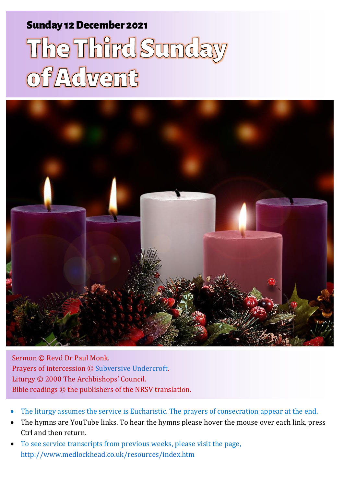### Sunday 12 December 2021 1 The Third Sunday of Adventure Contractor Sunday of Adventure Contractor Sunday of Adv

# The Third Sunday ofAdvent



Sermon © Revd Dr Paul Monk. Prayers of intercession © [Subversive Undercroft.](https://www.subversiveundercroft.org/page/17) Liturgy © 2000 The Archbishops' Council. Bible readings © the publishers of the NRSV translation.

- The liturgy assumes the service is Eucharistic. The prayers of consecration appear at the end.
- The hymns are YouTube links. To hear the hymns please hover the mouse over each link, press Ctrl and then return.
- To see service transcripts from previous weeks, please visit the page, <http://www.medlockhead.co.uk/resources/index.htm>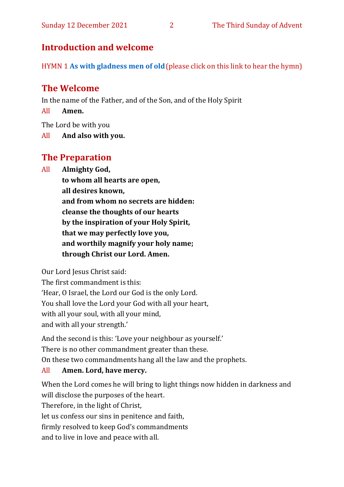#### Sunday 12 December 2021 2 The Third Sunday of Advent

#### **Introduction and welcome**

HYMN 1 **[As with gladness men of old](https://www.youtube.com/watch?v=UB8rKNrlpDQ)**(please click on this link to hear the hymn)

#### **The Welcome**

In the name of the Father, and of the Son, and of the Holy Spirit

All **Amen.**

The Lord be with you

All **And also with you.**

#### **The Preparation**

All **Almighty God,**

**to whom all hearts are open, all desires known, and from whom no secrets are hidden: cleanse the thoughts of our hearts by the inspiration of your Holy Spirit, that we may perfectly love you, and worthily magnify your holy name; through Christ our Lord. Amen.**

Our Lord Jesus Christ said:

The first commandment is this: 'Hear, O Israel, the Lord our God is the only Lord. You shall love the Lord your God with all your heart, with all your soul, with all your mind, and with all your strength.'

And the second is this: 'Love your neighbour as yourself.' There is no other commandment greater than these. On these two commandments hang all the law and the prophets.

#### All **Amen. Lord, have mercy.**

When the Lord comes he will bring to light things now hidden in darkness and will disclose the purposes of the heart. Therefore, in the light of Christ, let us confess our sins in penitence and faith, firmly resolved to keep God's commandments and to live in love and peace with all.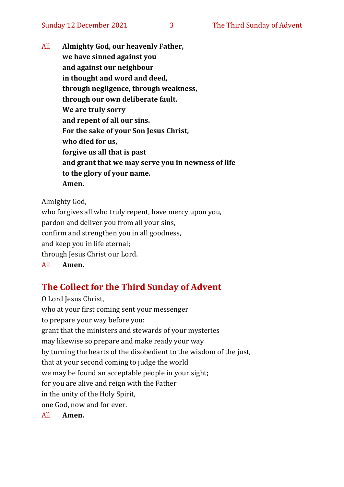All **Almighty God, our heavenly Father, we have sinned against you and against our neighbour in thought and word and deed, through negligence, through weakness, through our own deliberate fault. We are truly sorry and repent of all our sins. For the sake of your Son Jesus Christ, who died for us, forgive us all that is past and grant that we may serve you in newness of life to the glory of your name. Amen.**

Almighty God,

who forgives all who truly repent, have mercy upon you, pardon and deliver you from all your sins, confirm and strengthen you in all goodness, and keep you in life eternal; through Jesus Christ our Lord. All **Amen.**

#### **The Collect for the Third Sunday of Advent**

O Lord Jesus Christ, who at your first coming sent your messenger to prepare your way before you: grant that the ministers and stewards of your mysteries may likewise so prepare and make ready your way by turning the hearts of the disobedient to the wisdom of the just, that at your second coming to judge the world we may be found an acceptable people in your sight; for you are alive and reign with the Father in the unity of the Holy Spirit, one God, now and for ever. All **Amen.**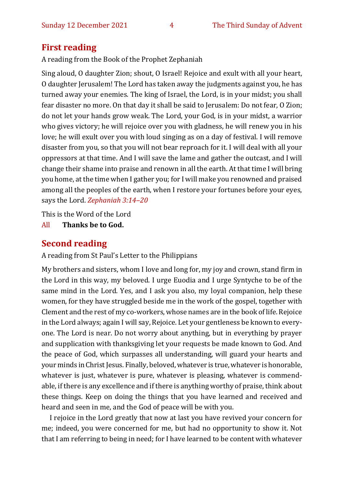#### Sunday 12 December 2021 4 The Third Sunday of Advent

#### **First reading**

A reading from the Book of the Prophet Zephaniah

Sing aloud, O daughter Zion; shout, O Israel! Rejoice and exult with all your heart, O daughter Jerusalem! The Lord has taken away the judgments against you, he has turned away your enemies. The king of Israel, the Lord, is in your midst; you shall fear disaster no more. On that day it shall be said to Jerusalem: Do not fear, O Zion; do not let your hands grow weak. The Lord, your God, is in your midst, a warrior who gives victory; he will rejoice over you with gladness, he will renew you in his love; he will exult over you with loud singing as on a day of festival. I will remove disaster from you, so that you will not bear reproach for it. I will deal with all your oppressors at that time. And I will save the lame and gather the outcast, and I will change their shame into praise and renown in all the earth. At that time I will bring you home, at the time when I gather you; for I will make you renowned and praised among all the peoples of the earth, when I restore your fortunes before your eyes, says the Lord. *Zephaniah 3:14–20*

This is the Word of the Lord

All **Thanks be to God.**

#### **Second reading**

A reading from St Paul's Letter to the Philippians

My brothers and sisters, whom I love and long for, my joy and crown, stand firm in the Lord in this way, my beloved. I urge Euodia and I urge Syntyche to be of the same mind in the Lord. Yes, and I ask you also, my loyal companion, help these women, for they have struggled beside me in the work of the gospel, together with Clement and the rest of my co-workers, whose names are in the book of life. Rejoice in the Lord always; again I will say, Rejoice. Let your gentleness be known to everyone. The Lord is near. Do not worry about anything, but in everything by prayer and supplication with thanksgiving let your requests be made known to God. And the peace of God, which surpasses all understanding, will guard your hearts and your minds in Christ Jesus. Finally, beloved, whatever is true, whatever is honorable, whatever is just, whatever is pure, whatever is pleasing, whatever is commendable, if there is any excellence and if there is anything worthy of praise, think about these things. Keep on doing the things that you have learned and received and heard and seen in me, and the God of peace will be with you.

I rejoice in the Lord greatly that now at last you have revived your concern for me; indeed, you were concerned for me, but had no opportunity to show it. Not that I am referring to being in need; for I have learned to be content with whatever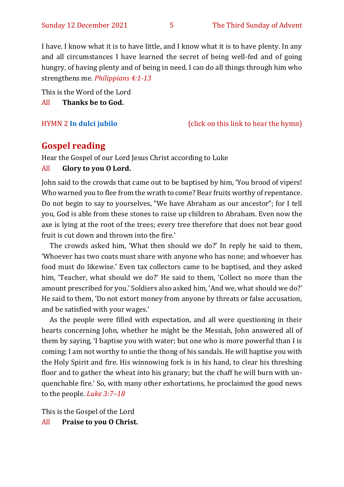I have. I know what it is to have little, and I know what it is to have plenty. In any and all circumstances I have learned the secret of being well-fed and of going hungry, of having plenty and of being in need. I can do all things through him who strengthens me. *Philippians 4:1-13*

This is the Word of the Lord

All **Thanks be to God.**

HYMN 2 **[In dulci jubilo](https://www.youtube.com/watch?v=aX0GNIOfB9U)** (click on this link to hear the hymn)

#### **Gospel reading**

Hear the Gospel of our Lord Jesus Christ according to Luke

#### All **Glory to you O Lord.**

John said to the crowds that came out to be baptised by him, 'You brood of vipers! Who warned you to flee from the wrath to come? Bear fruits worthy of repentance. Do not begin to say to yourselves, "We have Abraham as our ancestor"; for I tell you, God is able from these stones to raise up children to Abraham. Even now the axe is lying at the root of the trees; every tree therefore that does not bear good fruit is cut down and thrown into the fire.'

The crowds asked him, 'What then should we do?' In reply he said to them, 'Whoever has two coats must share with anyone who has none; and whoever has food must do likewise.' Even tax collectors came to be baptised, and they asked him, 'Teacher, what should we do?' He said to them, 'Collect no more than the amount prescribed for you.' Soldiers also asked him, 'And we, what should we do?' He said to them, 'Do not extort money from anyone by threats or false accusation, and be satisfied with your wages.'

As the people were filled with expectation, and all were questioning in their hearts concerning John, whether he might be the Messiah, John answered all of them by saying, 'I baptise you with water; but one who is more powerful than I is coming; I am not worthy to untie the thong of his sandals. He will baptise you with the Holy Spirit and fire. His winnowing fork is in his hand, to clear his threshing floor and to gather the wheat into his granary; but the chaff he will burn with unquenchable fire.' So, with many other exhortations, he proclaimed the good news to the people. *Luke 3:7–18*

This is the Gospel of the Lord All **Praise to you O Christ.**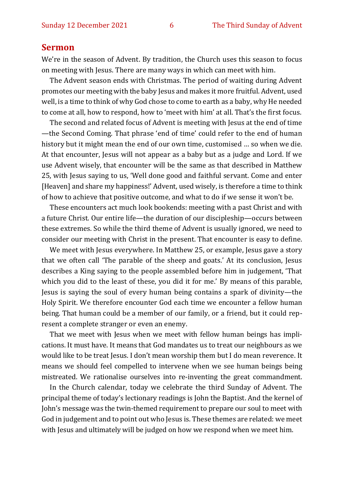#### **Sermon**

We're in the season of Advent. By tradition, the Church uses this season to focus on meeting with Jesus. There are many ways in which can meet with him.

The Advent season ends with Christmas. The period of waiting during Advent promotes our meeting with the baby Jesus and makes it more fruitful. Advent, used well, is a time to think of why God chose to come to earth as a baby, why He needed to come at all, how to respond, how to 'meet with him' at all. That's the first focus.

The second and related focus of Advent is meeting with Jesus at the end of time —the Second Coming. That phrase 'end of time' could refer to the end of human history but it might mean the end of our own time, customised … so when we die. At that encounter, Jesus will not appear as a baby but as a judge and Lord. If we use Advent wisely, that encounter will be the same as that described in Matthew 25, with Jesus saying to us, 'Well done good and faithful servant. Come and enter [Heaven] and share my happiness!' Advent, used wisely, is therefore a time to think of how to achieve that positive outcome, and what to do if we sense it won't be.

These encounters act much look bookends: meeting with a past Christ and with a future Christ. Our entire life—the duration of our discipleship—occurs between these extremes. So while the third theme of Advent is usually ignored, we need to consider our meeting with Christ in the present. That encounter is easy to define.

We meet with Jesus everywhere. In Matthew 25, or example, Jesus gave a story that we often call 'The parable of the sheep and goats.' At its conclusion, Jesus describes a King saying to the people assembled before him in judgement, 'That which you did to the least of these, you did it for me.' By means of this parable, Jesus is saying the soul of every human being contains a spark of divinity—the Holy Spirit. We therefore encounter God each time we encounter a fellow human being. That human could be a member of our family, or a friend, but it could represent a complete stranger or even an enemy.

That we meet with Jesus when we meet with fellow human beings has implications. It must have. It means that God mandates us to treat our neighbours as we would like to be treat Jesus. I don't mean worship them but I do mean reverence. It means we should feel compelled to intervene when we see human beings being mistreated. We rationalise ourselves into re-inventing the great commandment.

In the Church calendar, today we celebrate the third Sunday of Advent. The principal theme of today's lectionary readings is John the Baptist. And the kernel of John's message was the twin-themed requirement to prepare our soul to meet with God in judgement and to point out who Jesus is. These themes are related: we meet with Jesus and ultimately will be judged on how we respond when we meet him.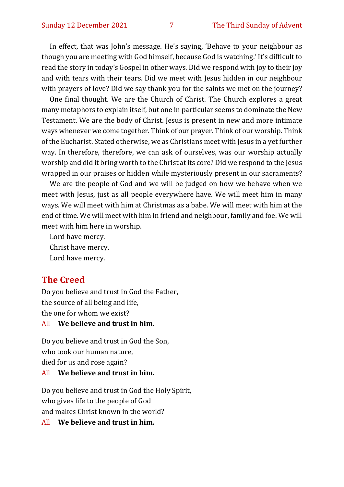In effect, that was John's message. He's saying, 'Behave to your neighbour as though you are meeting with God himself, because God is watching.' It's difficult to read the story in today's Gospel in other ways. Did we respond with joy to their joy and with tears with their tears. Did we meet with Jesus hidden in our neighbour with prayers of love? Did we say thank you for the saints we met on the journey?

One final thought. We are the Church of Christ. The Church explores a great many metaphors to explain itself, but one in particular seems to dominate the New Testament. We are the body of Christ. Jesus is present in new and more intimate ways whenever we come together. Think of our prayer. Think of our worship. Think of the Eucharist. Stated otherwise, we as Christians meet with Jesus in a yet further way. In therefore, therefore, we can ask of ourselves, was our worship actually worship and did it bring worth to the Christ at its core? Did we respond to the Jesus wrapped in our praises or hidden while mysteriously present in our sacraments?

We are the people of God and we will be judged on how we behave when we meet with Jesus, just as all people everywhere have. We will meet him in many ways. We will meet with him at Christmas as a babe. We will meet with him at the end of time. We will meet with him in friend and neighbour, family and foe. We will meet with him here in worship.

Lord have mercy. Christ have mercy. Lord have mercy.

#### **The Creed**

Do you believe and trust in God the Father, the source of all being and life, the one for whom we exist?

All **We believe and trust in him.**

Do you believe and trust in God the Son, who took our human nature, died for us and rose again?

#### All **We believe and trust in him.**

Do you believe and trust in God the Holy Spirit, who gives life to the people of God and makes Christ known in the world?

All **We believe and trust in him.**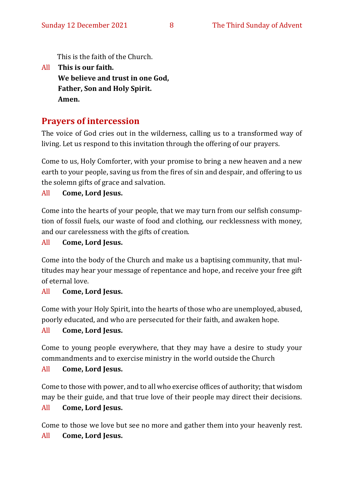This is the faith of the Church.

All **This is our faith. We believe and trust in one God, Father, Son and Holy Spirit. Amen.**

#### **Prayers of intercession**

The voice of God cries out in the wilderness, calling us to a transformed way of living. Let us respond to this invitation through the offering of our prayers.

Come to us, Holy Comforter, with your promise to bring a new heaven and a new earth to your people, saving us from the fires of sin and despair, and offering to us the solemn gifts of grace and salvation.

#### All **Come, Lord Jesus.**

Come into the hearts of your people, that we may turn from our selfish consumption of fossil fuels, our waste of food and clothing, our recklessness with money, and our carelessness with the gifts of creation.

#### All **Come, Lord Jesus.**

Come into the body of the Church and make us a baptising community, that multitudes may hear your message of repentance and hope, and receive your free gift of eternal love.

#### All **Come, Lord Jesus.**

Come with your Holy Spirit, into the hearts of those who are unemployed, abused, poorly educated, and who are persecuted for their faith, and awaken hope.

#### All **Come, Lord Jesus.**

Come to young people everywhere, that they may have a desire to study your commandments and to exercise ministry in the world outside the Church

#### All **Come, Lord Jesus.**

Come to those with power, and to all who exercise offices of authority; that wisdom may be their guide, and that true love of their people may direct their decisions.

#### All **Come, Lord Jesus.**

Come to those we love but see no more and gather them into your heavenly rest. All **Come, Lord Jesus.**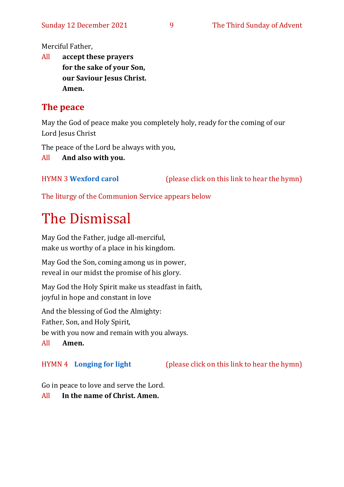Merciful Father,

All **accept these prayers for the sake of your Son, our Saviour Jesus Christ. Amen.**

#### **The peace**

May the God of peace make you completely holy, ready for the coming of our Lord Jesus Christ

The peace of the Lord be always with you,

All **And also with you.**

HYMN 3 **[Wexford carol](https://www.youtube.com/watch?v=1D2kpeqLiiA)** (please click on this link to hear the hymn)

The liturgy of the Communion Service appears below

# The Dismissal

May God the Father, judge all-merciful, make us worthy of a place in his kingdom.

May God the Son, coming among us in power, reveal in our midst the promise of his glory.

May God the Holy Spirit make us steadfast in faith, joyful in hope and constant in love

And the blessing of God the Almighty: Father, Son, and Holy Spirit, be with you now and remain with you always.

All **Amen.**

HYMN 4 **[Longing for light](https://youtu.be/ZJq3bhdgQoc)** (please click on this link to hear the hymn)

Go in peace to love and serve the Lord. All **In the name of Christ. Amen.**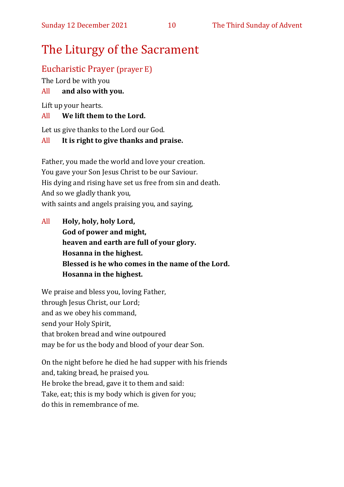## The Liturgy of the Sacrament

#### Eucharistic Prayer (prayer E)

The Lord be with you

#### All **and also with you.**

Lift up your hearts.

#### All **We lift them to the Lord.**

Let us give thanks to the Lord our God.

#### All **It is right to give thanks and praise.**

Father, you made the world and love your creation. You gave your Son Jesus Christ to be our Saviour. His dying and rising have set us free from sin and death. And so we gladly thank you, with saints and angels praising you, and saying,

All **Holy, holy, holy Lord, God of power and might, heaven and earth are full of your glory. Hosanna in the highest. Blessed is he who comes in the name of the Lord. Hosanna in the highest.**

We praise and bless you, loving Father, through Jesus Christ, our Lord; and as we obey his command, send your Holy Spirit, that broken bread and wine outpoured may be for us the body and blood of your dear Son.

On the night before he died he had supper with his friends and, taking bread, he praised you. He broke the bread, gave it to them and said: Take, eat; this is my body which is given for you; do this in remembrance of me.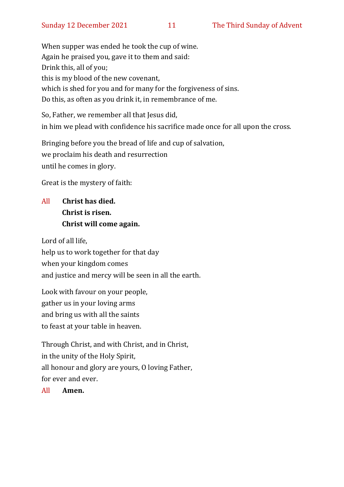When supper was ended he took the cup of wine. Again he praised you, gave it to them and said: Drink this, all of you; this is my blood of the new covenant, which is shed for you and for many for the forgiveness of sins. Do this, as often as you drink it, in remembrance of me.

So, Father, we remember all that Jesus did, in him we plead with confidence his sacrifice made once for all upon the cross.

Bringing before you the bread of life and cup of salvation, we proclaim his death and resurrection until he comes in glory.

Great is the mystery of faith:

#### All **Christ has died. Christ is risen. Christ will come again.**

Lord of all life, help us to work together for that day when your kingdom comes and justice and mercy will be seen in all the earth.

Look with favour on your people, gather us in your loving arms and bring us with all the saints to feast at your table in heaven.

Through Christ, and with Christ, and in Christ, in the unity of the Holy Spirit, all honour and glory are yours, O loving Father, for ever and ever.

All **Amen.**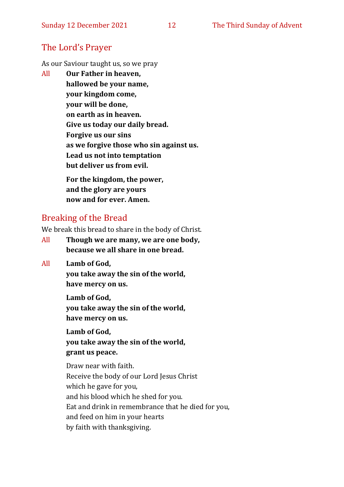#### The Lord's Prayer

As our Saviour taught us, so we pray

All **Our Father in heaven, hallowed be your name, your kingdom come, your will be done, on earth as in heaven. Give us today our daily bread. Forgive us our sins as we forgive those who sin against us. Lead us not into temptation but deliver us from evil. For the kingdom, the power,** 

**and the glory are yours now and for ever. Amen.**

#### Breaking of the Bread

We break this bread to share in the body of Christ.

- All **Though we are many, we are one body, because we all share in one bread.**
- All **Lamb of God,**

**you take away the sin of the world, have mercy on us.**

**Lamb of God, you take away the sin of the world, have mercy on us.**

**Lamb of God, you take away the sin of the world, grant us peace.**

Draw near with faith. Receive the body of our Lord Jesus Christ which he gave for you, and his blood which he shed for you. Eat and drink in remembrance that he died for you, and feed on him in your hearts by faith with thanksgiving.